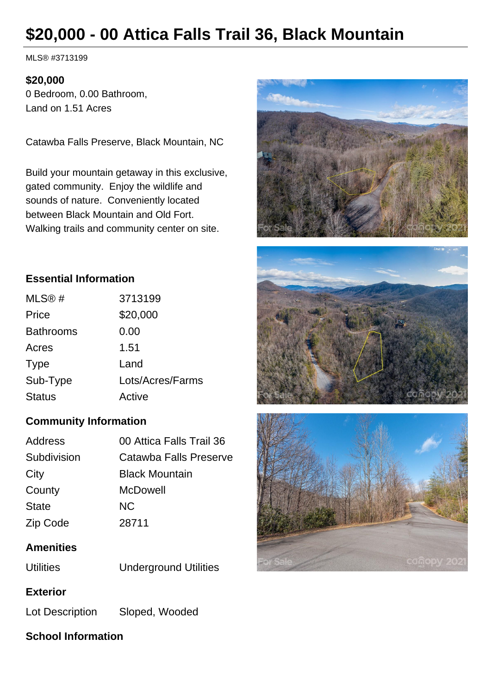# **\$20,000 - 00 Attica Falls Trail 36, Black Mountain**

MLS® #3713199

#### **\$20,000**

0 Bedroom, 0.00 Bathroom, Land on 1.51 Acres

Catawba Falls Preserve, Black Mountain, NC

Build your mountain getaway in this exclusive, gated community. Enjoy the wildlife and sounds of nature. Conveniently located between Black Mountain and Old Fort. Walking trails and community center on site.







#### **Essential Information**

| MLS@#            | 3713199          |
|------------------|------------------|
| Price            | \$20,000         |
| <b>Bathrooms</b> | 0.00             |
| Acres            | 1.51             |
| <b>Type</b>      | Land             |
| Sub-Type         | Lots/Acres/Farms |
| <b>Status</b>    | Active           |

## **Community Information**

| Address      | 00 Attica Falls Trail 36 |
|--------------|--------------------------|
| Subdivision  | Catawba Falls Preserve   |
| City         | <b>Black Mountain</b>    |
| County       | McDowell                 |
| <b>State</b> | NC.                      |
| Zip Code     | 28711                    |

#### **Amenities**

Utilities Underground Utilities

#### **Exterior**

Lot Description Sloped, Wooded

#### **School Information**